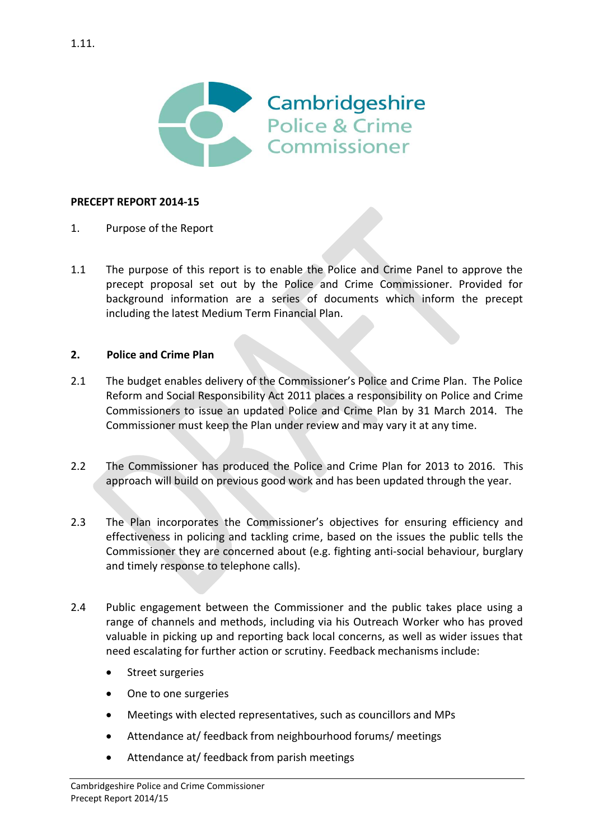

### **PRECEPT REPORT 2014-15**

- 1. Purpose of the Report
- 1.1 The purpose of this report is to enable the Police and Crime Panel to approve the precept proposal set out by the Police and Crime Commissioner. Provided for background information are a series of documents which inform the precept including the latest Medium Term Financial Plan.

#### **2. Police and Crime Plan**

- 2.1 The budget enables delivery of the Commissioner's Police and Crime Plan. The Police Reform and Social Responsibility Act 2011 places a responsibility on Police and Crime Commissioners to issue an updated Police and Crime Plan by 31 March 2014. The Commissioner must keep the Plan under review and may vary it at any time.
- 2.2 The Commissioner has produced the Police and Crime Plan for 2013 to 2016. This approach will build on previous good work and has been updated through the year.
- 2.3 The Plan incorporates the Commissioner's objectives for ensuring efficiency and effectiveness in policing and tackling crime, based on the issues the public tells the Commissioner they are concerned about (e.g. fighting anti-social behaviour, burglary and timely response to telephone calls).
- 2.4 Public engagement between the Commissioner and the public takes place using a range of channels and methods, including via his Outreach Worker who has proved valuable in picking up and reporting back local concerns, as well as wider issues that need escalating for further action or scrutiny. Feedback mechanisms include:
	- Street surgeries
	- One to one surgeries
	- Meetings with elected representatives, such as councillors and MPs
	- Attendance at/ feedback from neighbourhood forums/ meetings
	- Attendance at/ feedback from parish meetings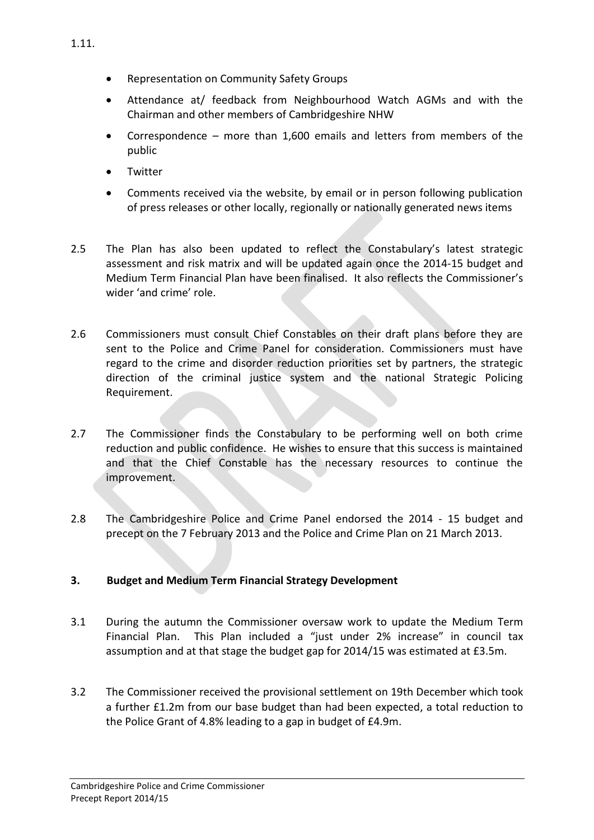- Attendance at/ feedback from Neighbourhood Watch AGMs and with the Chairman and other members of Cambridgeshire NHW
- Correspondence more than 1,600 emails and letters from members of the public
- **•** Twitter
- Comments received via the website, by email or in person following publication of press releases or other locally, regionally or nationally generated news items
- 2.5 The Plan has also been updated to reflect the Constabulary's latest strategic assessment and risk matrix and will be updated again once the 2014-15 budget and Medium Term Financial Plan have been finalised. It also reflects the Commissioner's wider 'and crime' role.
- 2.6 Commissioners must consult Chief Constables on their draft plans before they are sent to the Police and Crime Panel for consideration. Commissioners must have regard to the crime and disorder reduction priorities set by partners, the strategic direction of the criminal justice system and the national Strategic Policing Requirement.
- 2.7 The Commissioner finds the Constabulary to be performing well on both crime reduction and public confidence. He wishes to ensure that this success is maintained and that the Chief Constable has the necessary resources to continue the improvement.
- 2.8 The Cambridgeshire Police and Crime Panel endorsed the 2014 15 budget and precept on the 7 February 2013 and the Police and Crime Plan on 21 March 2013.

# **3. Budget and Medium Term Financial Strategy Development**

- 3.1 During the autumn the Commissioner oversaw work to update the Medium Term Financial Plan. This Plan included a "just under 2% increase" in council tax assumption and at that stage the budget gap for 2014/15 was estimated at £3.5m.
- 3.2 The Commissioner received the provisional settlement on 19th December which took a further £1.2m from our base budget than had been expected, a total reduction to the Police Grant of 4.8% leading to a gap in budget of £4.9m.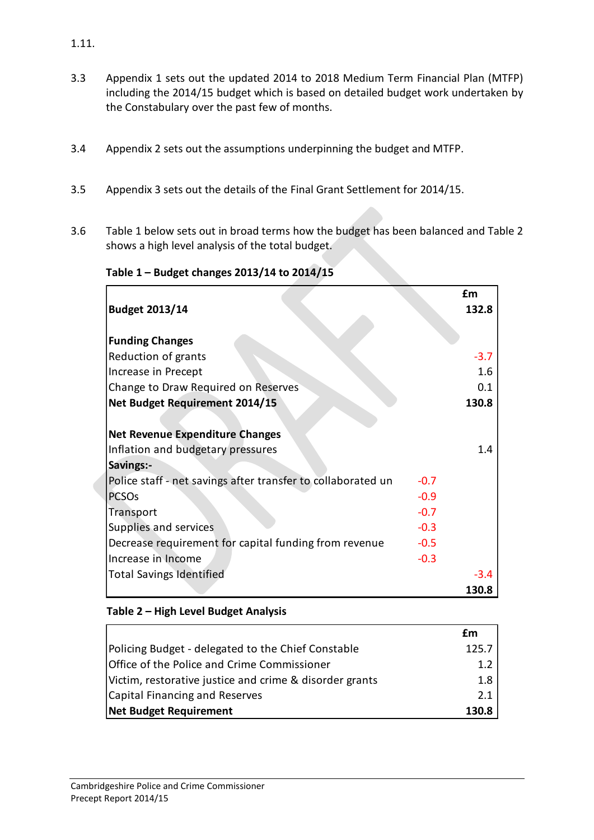- 3.3 Appendix 1 sets out the updated 2014 to 2018 Medium Term Financial Plan (MTFP) including the 2014/15 budget which is based on detailed budget work undertaken by the Constabulary over the past few of months.
- 3.4 Appendix 2 sets out the assumptions underpinning the budget and MTFP.
- 3.5 Appendix 3 sets out the details of the Final Grant Settlement for 2014/15.
- 3.6 Table 1 below sets out in broad terms how the budget has been balanced and Table 2 shows a high level analysis of the total budget.

**Table 1 – Budget changes 2013/14 to 2014/15**

|                                                              |        | £m<br>132.8 |
|--------------------------------------------------------------|--------|-------------|
| <b>Budget 2013/14</b>                                        |        |             |
| <b>Funding Changes</b>                                       |        |             |
| Reduction of grants                                          |        | $-3.7$      |
| Increase in Precept                                          |        | 1.6         |
| Change to Draw Required on Reserves                          |        | 0.1         |
| <b>Net Budget Requirement 2014/15</b>                        |        | 130.8       |
|                                                              |        |             |
| <b>Net Revenue Expenditure Changes</b>                       |        |             |
| Inflation and budgetary pressures                            |        | 1.4         |
| Savings:-                                                    |        |             |
| Police staff - net savings after transfer to collaborated un | $-0.7$ |             |
| <b>PCSO<sub>s</sub></b>                                      | $-0.9$ |             |
| Transport                                                    | $-0.7$ |             |
| Supplies and services                                        | $-0.3$ |             |
| Decrease requirement for capital funding from revenue        | $-0.5$ |             |
| Increase in Income                                           | $-0.3$ |             |
| <b>Total Savings Identified</b>                              |        | $-3.4$      |
|                                                              |        | 130.8       |

## **Table 2 – High Level Budget Analysis**

|                                                         | £m    |
|---------------------------------------------------------|-------|
| Policing Budget - delegated to the Chief Constable      | 125.7 |
| Office of the Police and Crime Commissioner             | 1.2   |
| Victim, restorative justice and crime & disorder grants | 1.8   |
| Capital Financing and Reserves                          | 2.1   |
| Net Budget Requirement                                  | 130.8 |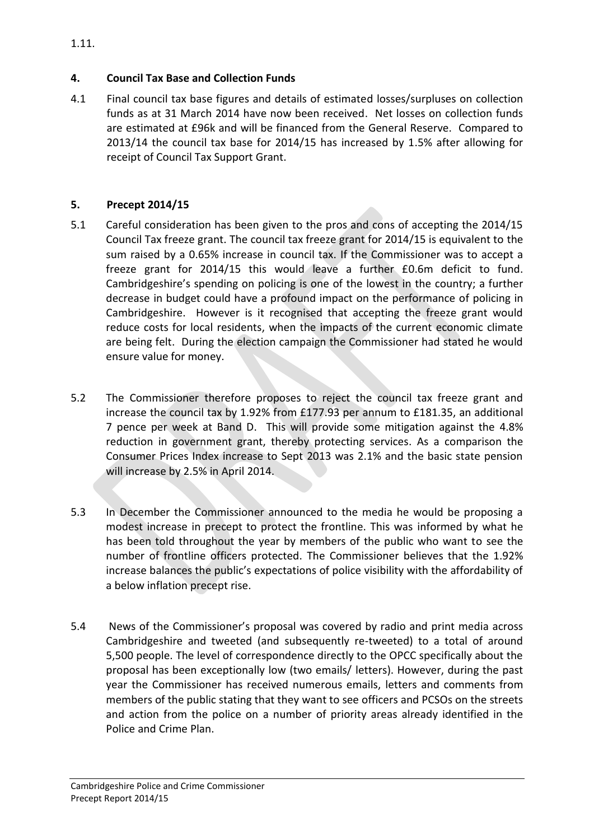## **4. Council Tax Base and Collection Funds**

4.1 Final council tax base figures and details of estimated losses/surpluses on collection funds as at 31 March 2014 have now been received. Net losses on collection funds are estimated at £96k and will be financed from the General Reserve. Compared to 2013/14 the council tax base for 2014/15 has increased by 1.5% after allowing for receipt of Council Tax Support Grant.

# **5. Precept 2014/15**

- 5.1 Careful consideration has been given to the pros and cons of accepting the 2014/15 Council Tax freeze grant. The council tax freeze grant for 2014/15 is equivalent to the sum raised by a 0.65% increase in council tax. If the Commissioner was to accept a freeze grant for 2014/15 this would leave a further £0.6m deficit to fund. Cambridgeshire's spending on policing is one of the lowest in the country; a further decrease in budget could have a profound impact on the performance of policing in Cambridgeshire. However is it recognised that accepting the freeze grant would reduce costs for local residents, when the impacts of the current economic climate are being felt. During the election campaign the Commissioner had stated he would ensure value for money.
- 5.2 The Commissioner therefore proposes to reject the council tax freeze grant and increase the council tax by 1.92% from £177.93 per annum to £181.35, an additional 7 pence per week at Band D. This will provide some mitigation against the 4.8% reduction in government grant, thereby protecting services. As a comparison the Consumer Prices Index increase to Sept 2013 was 2.1% and the basic state pension will increase by 2.5% in April 2014.
- 5.3 In December the Commissioner announced to the media he would be proposing a modest increase in precept to protect the frontline. This was informed by what he has been told throughout the year by members of the public who want to see the number of frontline officers protected. The Commissioner believes that the 1.92% increase balances the public's expectations of police visibility with the affordability of a below inflation precept rise.
- 5.4 News of the Commissioner's proposal was covered by radio and print media across Cambridgeshire and tweeted (and subsequently re-tweeted) to a total of around 5,500 people. The level of correspondence directly to the OPCC specifically about the proposal has been exceptionally low (two emails/ letters). However, during the past year the Commissioner has received numerous emails, letters and comments from members of the public stating that they want to see officers and PCSOs on the streets and action from the police on a number of priority areas already identified in the Police and Crime Plan.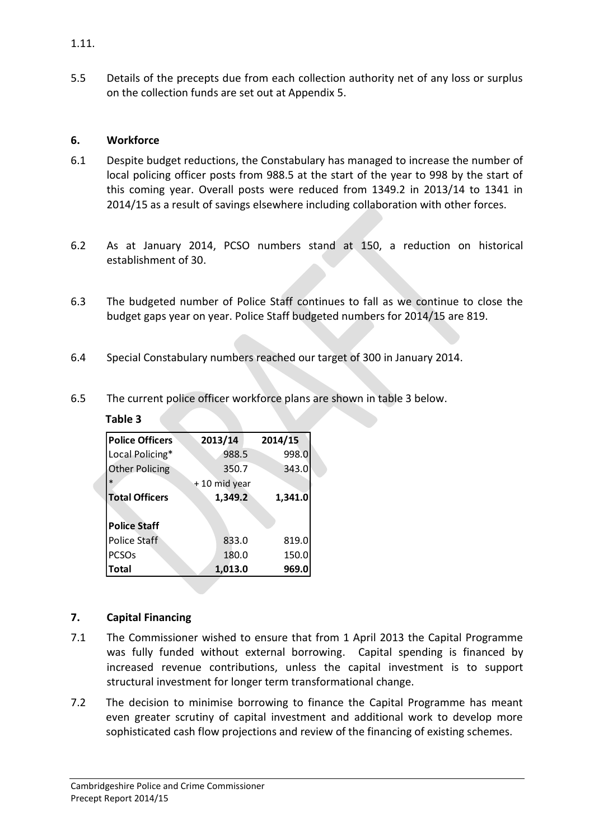5.5 Details of the precepts due from each collection authority net of any loss or surplus on the collection funds are set out at Appendix 5.

### **6. Workforce**

- 6.1 Despite budget reductions, the Constabulary has managed to increase the number of local policing officer posts from 988.5 at the start of the year to 998 by the start of this coming year. Overall posts were reduced from 1349.2 in 2013/14 to 1341 in 2014/15 as a result of savings elsewhere including collaboration with other forces.
- 6.2 As at January 2014, PCSO numbers stand at 150, a reduction on historical establishment of 30.
- 6.3 The budgeted number of Police Staff continues to fall as we continue to close the budget gaps year on year. Police Staff budgeted numbers for 2014/15 are 819.
- 6.4 Special Constabulary numbers reached our target of 300 in January 2014.
- 6.5 The current police officer workforce plans are shown in table 3 below.

| <b>Police Officers</b> | 2013/14        | 2014/15 |
|------------------------|----------------|---------|
| Local Policing*        | 988.5          | 998.0   |
| <b>Other Policing</b>  | 350.7          | 343.0   |
| $\ast$                 | +10 mid year   |         |
| <b>Total Officers</b>  | 1,349.2        | 1,341.0 |
|                        |                |         |
| <b>Police Staff</b>    |                |         |
| <b>Police Staff</b>    | 833.0          | 819.0   |
| <b>PCSOs</b>           | 150.0<br>180.0 |         |
| <b>Total</b>           | 1,013.0        | 969.0   |

### **Table 3**

## **7. Capital Financing**

- 7.1 The Commissioner wished to ensure that from 1 April 2013 the Capital Programme was fully funded without external borrowing. Capital spending is financed by increased revenue contributions, unless the capital investment is to support structural investment for longer term transformational change.
- 7.2 The decision to minimise borrowing to finance the Capital Programme has meant even greater scrutiny of capital investment and additional work to develop more sophisticated cash flow projections and review of the financing of existing schemes.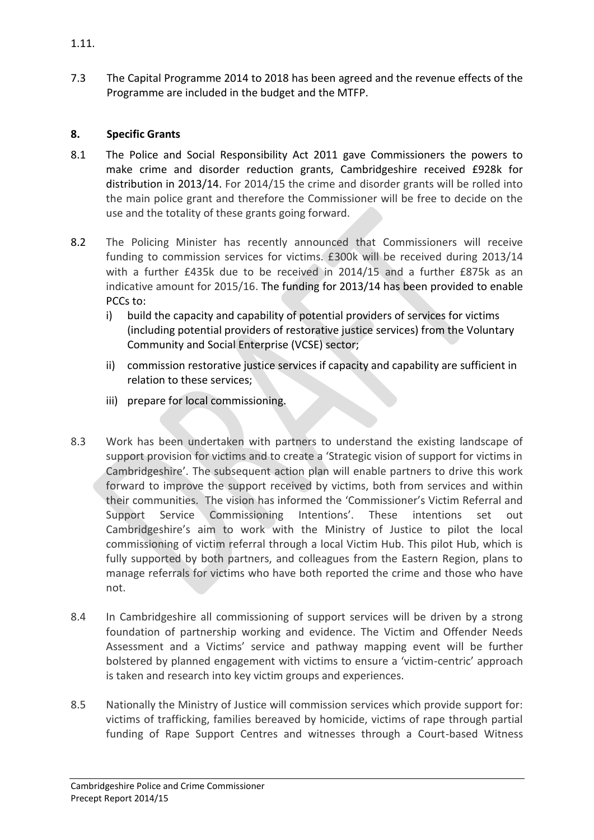7.3 The Capital Programme 2014 to 2018 has been agreed and the revenue effects of the Programme are included in the budget and the MTFP.

# **8. Specific Grants**

- 8.1 The Police and Social Responsibility Act 2011 gave Commissioners the powers to make crime and disorder reduction grants, Cambridgeshire received £928k for distribution in 2013/14. For 2014/15 the crime and disorder grants will be rolled into the main police grant and therefore the Commissioner will be free to decide on the use and the totality of these grants going forward.
- 8.2 The Policing Minister has recently announced that Commissioners will receive funding to commission services for victims. £300k will be received during 2013/14 with a further £435k due to be received in 2014/15 and a further £875k as an indicative amount for 2015/16. The funding for 2013/14 has been provided to enable PCCs to:
	- i) build the capacity and capability of potential providers of services for victims (including potential providers of restorative justice services) from the Voluntary Community and Social Enterprise (VCSE) sector;
	- ii) commission restorative justice services if capacity and capability are sufficient in relation to these services;
	- iii) prepare for local commissioning.
- 8.3 Work has been undertaken with partners to understand the existing landscape of support provision for victims and to create a 'Strategic vision of support for victims in Cambridgeshire'. The subsequent action plan will enable partners to drive this work forward to improve the support received by victims, both from services and within their communities. The vision has informed the 'Commissioner's Victim Referral and Support Service Commissioning Intentions'. These intentions set out Cambridgeshire's aim to work with the Ministry of Justice to pilot the local commissioning of victim referral through a local Victim Hub. This pilot Hub, which is fully supported by both partners, and colleagues from the Eastern Region, plans to manage referrals for victims who have both reported the crime and those who have not.
- 8.4 In Cambridgeshire all commissioning of support services will be driven by a strong foundation of partnership working and evidence. The Victim and Offender Needs Assessment and a Victims' service and pathway mapping event will be further bolstered by planned engagement with victims to ensure a 'victim-centric' approach is taken and research into key victim groups and experiences.
- 8.5 Nationally the Ministry of Justice will commission services which provide support for: victims of trafficking, families bereaved by homicide, victims of rape through partial funding of Rape Support Centres and witnesses through a Court-based Witness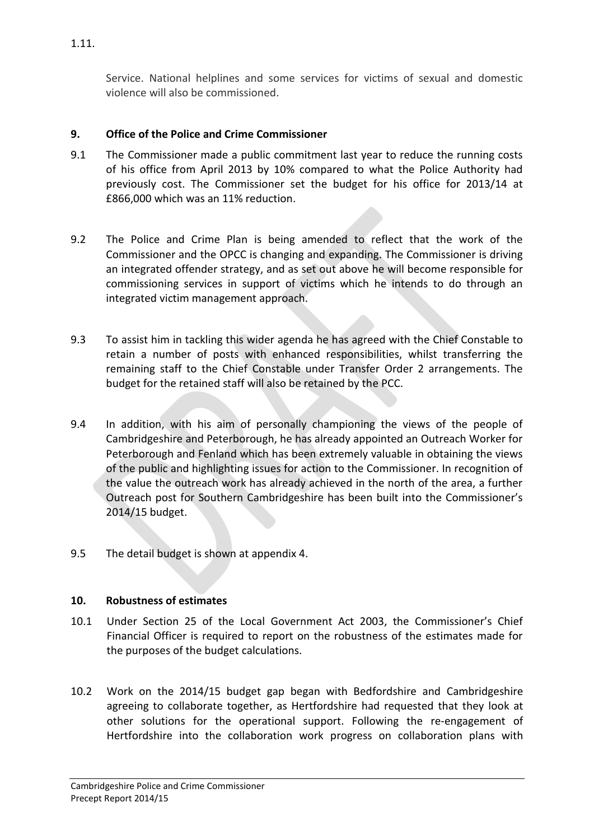Service. National helplines and some services for victims of sexual and domestic violence will also be commissioned.

## **9. Office of the Police and Crime Commissioner**

- 9.1 The Commissioner made a public commitment last year to reduce the running costs of his office from April 2013 by 10% compared to what the Police Authority had previously cost. The Commissioner set the budget for his office for 2013/14 at £866,000 which was an 11% reduction.
- 9.2 The Police and Crime Plan is being amended to reflect that the work of the Commissioner and the OPCC is changing and expanding. The Commissioner is driving an integrated offender strategy, and as set out above he will become responsible for commissioning services in support of victims which he intends to do through an integrated victim management approach.
- 9.3 To assist him in tackling this wider agenda he has agreed with the Chief Constable to retain a number of posts with enhanced responsibilities, whilst transferring the remaining staff to the Chief Constable under Transfer Order 2 arrangements. The budget for the retained staff will also be retained by the PCC.
- 9.4 In addition, with his aim of personally championing the views of the people of Cambridgeshire and Peterborough, he has already appointed an Outreach Worker for Peterborough and Fenland which has been extremely valuable in obtaining the views of the public and highlighting issues for action to the Commissioner. In recognition of the value the outreach work has already achieved in the north of the area, a further Outreach post for Southern Cambridgeshire has been built into the Commissioner's 2014/15 budget.
- 9.5 The detail budget is shown at appendix 4.

## **10. Robustness of estimates**

- 10.1 Under Section 25 of the Local Government Act 2003, the Commissioner's Chief Financial Officer is required to report on the robustness of the estimates made for the purposes of the budget calculations.
- 10.2 Work on the 2014/15 budget gap began with Bedfordshire and Cambridgeshire agreeing to collaborate together, as Hertfordshire had requested that they look at other solutions for the operational support. Following the re-engagement of Hertfordshire into the collaboration work progress on collaboration plans with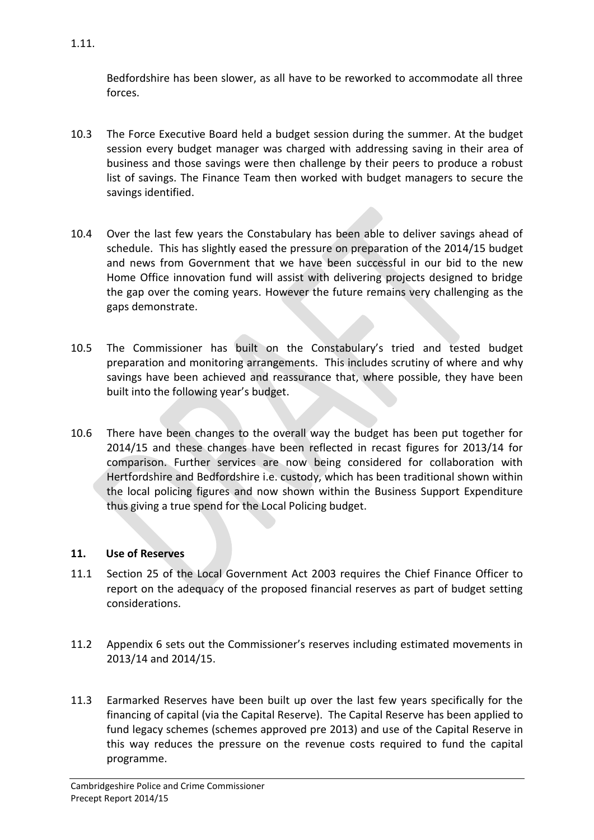Bedfordshire has been slower, as all have to be reworked to accommodate all three forces.

- 10.3 The Force Executive Board held a budget session during the summer. At the budget session every budget manager was charged with addressing saving in their area of business and those savings were then challenge by their peers to produce a robust list of savings. The Finance Team then worked with budget managers to secure the savings identified.
- 10.4 Over the last few years the Constabulary has been able to deliver savings ahead of schedule. This has slightly eased the pressure on preparation of the 2014/15 budget and news from Government that we have been successful in our bid to the new Home Office innovation fund will assist with delivering projects designed to bridge the gap over the coming years. However the future remains very challenging as the gaps demonstrate.
- 10.5 The Commissioner has built on the Constabulary's tried and tested budget preparation and monitoring arrangements. This includes scrutiny of where and why savings have been achieved and reassurance that, where possible, they have been built into the following year's budget.
- 10.6 There have been changes to the overall way the budget has been put together for 2014/15 and these changes have been reflected in recast figures for 2013/14 for comparison. Further services are now being considered for collaboration with Hertfordshire and Bedfordshire i.e. custody, which has been traditional shown within the local policing figures and now shown within the Business Support Expenditure thus giving a true spend for the Local Policing budget.

## **11. Use of Reserves**

- 11.1 Section 25 of the Local Government Act 2003 requires the Chief Finance Officer to report on the adequacy of the proposed financial reserves as part of budget setting considerations.
- 11.2 Appendix 6 sets out the Commissioner's reserves including estimated movements in 2013/14 and 2014/15.
- 11.3 Earmarked Reserves have been built up over the last few years specifically for the financing of capital (via the Capital Reserve). The Capital Reserve has been applied to fund legacy schemes (schemes approved pre 2013) and use of the Capital Reserve in this way reduces the pressure on the revenue costs required to fund the capital programme.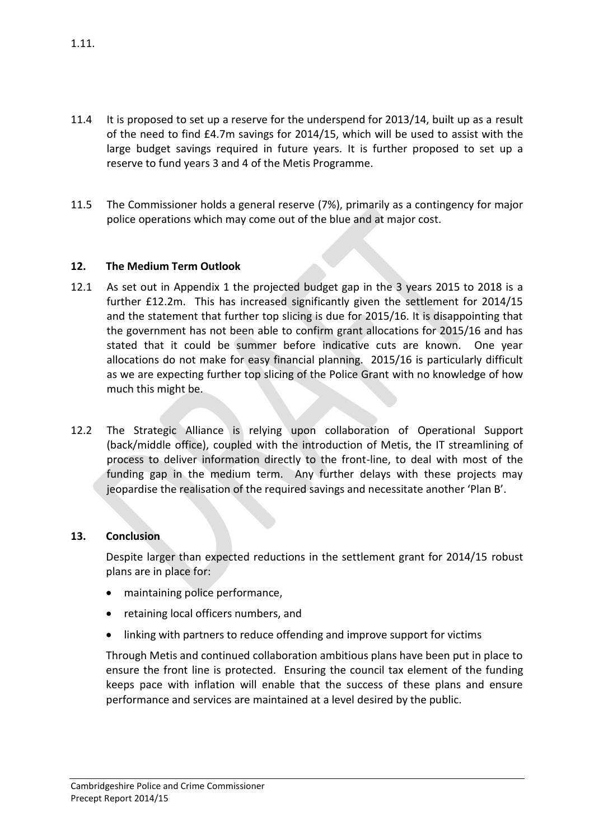- 11.4 It is proposed to set up a reserve for the underspend for 2013/14, built up as a result of the need to find £4.7m savings for 2014/15, which will be used to assist with the large budget savings required in future years. It is further proposed to set up a reserve to fund years 3 and 4 of the Metis Programme.
- 11.5 The Commissioner holds a general reserve (7%), primarily as a contingency for major police operations which may come out of the blue and at major cost.

## **12. The Medium Term Outlook**

- 12.1 As set out in Appendix 1 the projected budget gap in the 3 years 2015 to 2018 is a further £12.2m. This has increased significantly given the settlement for 2014/15 and the statement that further top slicing is due for 2015/16. It is disappointing that the government has not been able to confirm grant allocations for 2015/16 and has stated that it could be summer before indicative cuts are known. One year allocations do not make for easy financial planning. 2015/16 is particularly difficult as we are expecting further top slicing of the Police Grant with no knowledge of how much this might be.
- 12.2 The Strategic Alliance is relying upon collaboration of Operational Support (back/middle office), coupled with the introduction of Metis, the IT streamlining of process to deliver information directly to the front-line, to deal with most of the funding gap in the medium term. Any further delays with these projects may jeopardise the realisation of the required savings and necessitate another 'Plan B'.

## **13. Conclusion**

Despite larger than expected reductions in the settlement grant for 2014/15 robust plans are in place for:

- maintaining police performance,
- retaining local officers numbers, and
- linking with partners to reduce offending and improve support for victims

Through Metis and continued collaboration ambitious plans have been put in place to ensure the front line is protected. Ensuring the council tax element of the funding keeps pace with inflation will enable that the success of these plans and ensure performance and services are maintained at a level desired by the public.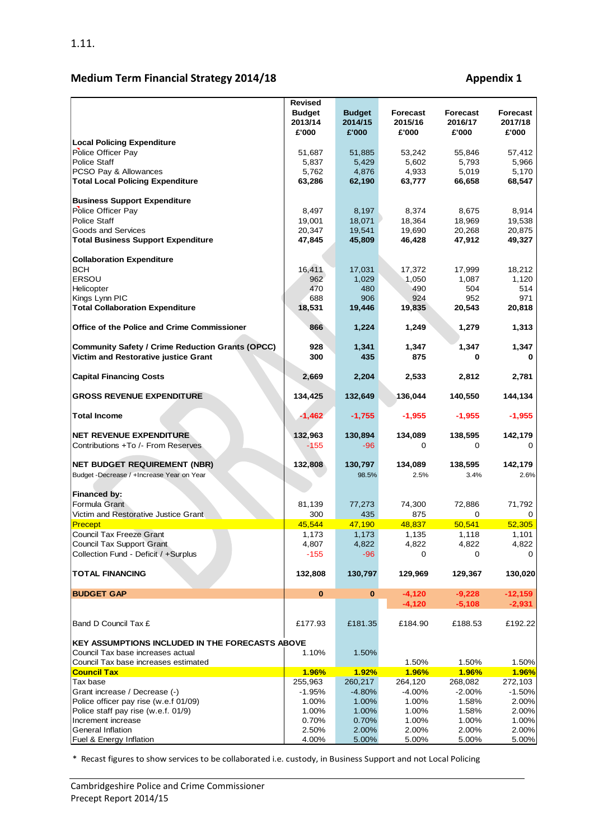# **Medium Term Financial Strategy 2014/18 Appendix 1 Appendix 1**

|                                                         | <b>Revised</b> |               |              |                 |                 |
|---------------------------------------------------------|----------------|---------------|--------------|-----------------|-----------------|
|                                                         | <b>Budget</b>  | <b>Budget</b> | Forecast     | <b>Forecast</b> | <b>Forecast</b> |
|                                                         | 2013/14        | 2014/15       | 2015/16      | 2016/17         | 2017/18         |
|                                                         | £'000          | £'000         | £'000        | £'000           | £'000           |
| <b>Local Policing Expenditure</b>                       |                |               |              |                 |                 |
| Police Officer Pay                                      | 51,687         | 51,885        | 53.242       | 55,846          | 57,412          |
| <b>Police Staff</b>                                     | 5,837          | 5,429         | 5,602        | 5,793           | 5,966           |
| PCSO Pay & Allowances                                   | 5,762          | 4,876         | 4,933        | 5,019           | 5,170           |
| <b>Total Local Policing Expenditure</b>                 | 63,286         | 62,190        | 63,777       | 66,658          | 68,547          |
|                                                         |                |               |              |                 |                 |
| <b>Business Support Expenditure</b>                     |                |               |              |                 |                 |
| Police Officer Pay                                      | 8,497          | 8,197         | 8,374        | 8,675           | 8,914           |
| <b>Police Staff</b>                                     | 19,001         | 18,071        | 18,364       | 18,969          | 19,538          |
| Goods and Services                                      | 20,347         | 19,541        | 19,690       | 20,268          | 20,875          |
| <b>Total Business Support Expenditure</b>               | 47,845         | 45,809        | 46,428       | 47,912          | 49,327          |
|                                                         |                |               |              |                 |                 |
| <b>Collaboration Expenditure</b>                        |                |               |              |                 |                 |
| <b>BCH</b>                                              | 16,411         | 17,031        | 17,372       | 17,999          | 18,212          |
| <b>ERSOU</b>                                            | 962            | 1,029         | 1,050        | 1,087           | 1,120           |
| Helicopter                                              | 470            | 480           | 490          | 504             | 514             |
| Kings Lynn PIC                                          | 688            | 906           | 924          | 952             | 971             |
| <b>Total Collaboration Expenditure</b>                  | 18,531         | 19,446        | 19,835       | 20,543          | 20,818          |
|                                                         |                |               |              |                 |                 |
| Office of the Police and Crime Commissioner             | 866            | 1,224         | 1,249        | 1,279           | 1,313           |
|                                                         |                |               |              |                 |                 |
| <b>Community Safety / Crime Reduction Grants (OPCC)</b> | 928            | 1,341         | 1,347        | 1,347           | 1,347           |
| Victim and Restorative justice Grant                    | 300            | 435           | 875          | 0               |                 |
|                                                         |                |               |              |                 |                 |
|                                                         |                |               |              | 2,812           |                 |
| <b>Capital Financing Costs</b>                          | 2,669          | 2,204         | 2,533        |                 | 2,781           |
|                                                         |                |               |              |                 |                 |
| <b>GROSS REVENUE EXPENDITURE</b>                        | 134,425        | 132,649       | 136,044      | 140,550         | 144,134         |
|                                                         |                |               |              |                 |                 |
| <b>Total Income</b>                                     | $-1,462$       | $-1,755$      | $-1,955$     | $-1,955$        | $-1,955$        |
|                                                         |                |               |              |                 |                 |
| <b>NET REVENUE EXPENDITURE</b>                          | 132,963        | 130,894       | 134,089      | 138,595         | 142,179         |
| Contributions +To /- From Reserves                      | $-155$         | $-96$         | 0            | 0               | 0               |
|                                                         |                |               |              |                 |                 |
| <b>NET BUDGET REQUIREMENT (NBR)</b>                     | 132,808        | 130,797       | 134,089      | 138,595         | 142,179         |
| Budget - Decrease / + Increase Year on Year             |                | 98.5%         | 2.5%         | 3.4%            | 2.6%            |
|                                                         |                |               |              |                 |                 |
| Financed by:                                            |                |               |              |                 |                 |
| Formula Grant                                           | 81,139         | 77,273        | 74,300       | 72,886          | 71,792          |
| Victim and Restorative Justice Grant                    | 300            | 435           | 875          | 0               | 0               |
| Precept                                                 | 45,544         | 47,190        | 48,837       | 50,541          | 52,305          |
| <b>Council Tax Freeze Grant</b>                         | 1,173          | 1,173         | 1,135        | 1,118           | 1,101           |
| Council Tax Support Grant                               | 4,807          | 4,822         | 4,822        | 4,822           | 4,822           |
| Collection Fund - Deficit / +Surplus                    | $-155$         | $-96$         | $\Omega$     | 0               | $\Omega$        |
|                                                         |                |               |              |                 |                 |
| <b>TOTAL FINANCING</b>                                  | 132,808        | 130,797       | 129,969      | 129,367         | 130,020         |
|                                                         |                |               |              |                 |                 |
| <b>BUDGET GAP</b>                                       | $\bf{0}$       | 0             | $-4,120$     | $-9,228$        | $-12,159$       |
|                                                         |                |               | $-4,120$     | $-5,108$        | $-2,931$        |
|                                                         |                |               |              |                 |                 |
| Band D Council Tax £                                    | £177.93        | £181.35       | £184.90      | £188.53         | £192.22         |
|                                                         |                |               |              |                 |                 |
| <b>KEY ASSUMPTIONS INCLUDED IN THE FORECASTS ABOVE</b>  |                |               |              |                 |                 |
| Council Tax base increases actual                       | 1.10%          | 1.50%         |              |                 |                 |
| Council Tax base increases estimated                    |                |               | 1.50%        | 1.50%           | 1.50%           |
| <b>Council Tax</b>                                      | 1.96%          | <b>1.92%</b>  | <b>1.96%</b> | 1.96%           | 1.96%           |
| Tax base                                                | 255,963        | 260,217       | 264,120      | 268,082         | 272,103         |
| Grant increase / Decrease (-)                           |                | $-4.80%$      |              |                 | $-1.50%$        |
|                                                         | $-1.95%$       |               | -4.00%       | $-2.00%$        |                 |
| Police officer pay rise (w.e.f 01/09)                   | 1.00%          | 1.00%         | 1.00%        | 1.58%           | 2.00%           |
| Police staff pay rise (w.e.f. 01/9)                     | 1.00%          | 1.00%         | 1.00%        | 1.58%           | 2.00%           |
| Increment increase                                      | 0.70%          | 0.70%         | 1.00%        | 1.00%           | 1.00%           |
| General Inflation                                       | 2.50%          | 2.00%         | 2.00%        | 2.00%           | 2.00%           |
| Fuel & Energy Inflation                                 | 4.00%          | 5.00%         | 5.00%        | 5.00%           | 5.00%           |

\* Recast figures to show services to be collaborated i.e. custody, in Business Support and not Local Policing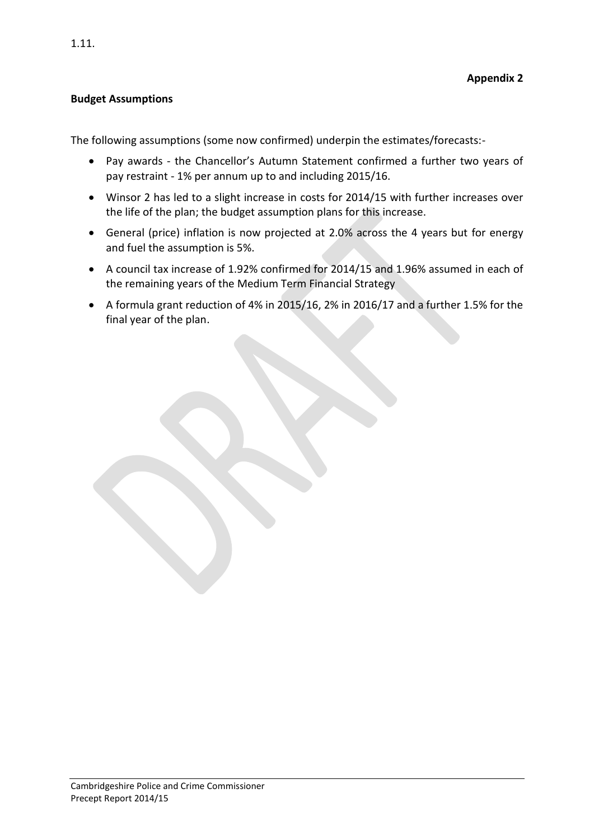### **Budget Assumptions**

The following assumptions (some now confirmed) underpin the estimates/forecasts:-

- Pay awards the Chancellor's Autumn Statement confirmed a further two years of pay restraint - 1% per annum up to and including 2015/16.
- Winsor 2 has led to a slight increase in costs for 2014/15 with further increases over the life of the plan; the budget assumption plans for this increase.
- General (price) inflation is now projected at 2.0% across the 4 years but for energy and fuel the assumption is 5%.
- A council tax increase of 1.92% confirmed for 2014/15 and 1.96% assumed in each of the remaining years of the Medium Term Financial Strategy
- A formula grant reduction of 4% in 2015/16, 2% in 2016/17 and a further 1.5% for the final year of the plan.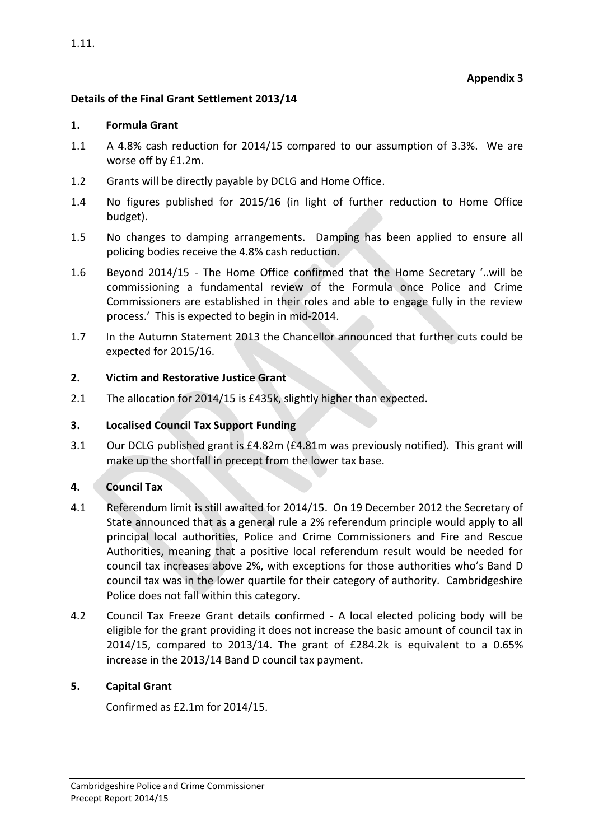## **Details of the Final Grant Settlement 2013/14**

#### **1. Formula Grant**

- 1.1 A 4.8% cash reduction for 2014/15 compared to our assumption of 3.3%. We are worse off by £1.2m.
- 1.2 Grants will be directly payable by DCLG and Home Office.
- 1.4 No figures published for 2015/16 (in light of further reduction to Home Office budget).
- 1.5 No changes to damping arrangements. Damping has been applied to ensure all policing bodies receive the 4.8% cash reduction.
- 1.6 Beyond 2014/15 The Home Office confirmed that the Home Secretary '..will be commissioning a fundamental review of the Formula once Police and Crime Commissioners are established in their roles and able to engage fully in the review process.' This is expected to begin in mid-2014.
- 1.7 In the Autumn Statement 2013 the Chancellor announced that further cuts could be expected for 2015/16.

## **2. Victim and Restorative Justice Grant**

2.1 The allocation for 2014/15 is £435k, slightly higher than expected.

## **3. Localised Council Tax Support Funding**

3.1 Our DCLG published grant is £4.82m (£4.81m was previously notified). This grant will make up the shortfall in precept from the lower tax base.

## **4. Council Tax**

- 4.1 Referendum limit is still awaited for 2014/15. On 19 December 2012 the Secretary of State announced that as a general rule a 2% referendum principle would apply to all principal local authorities, Police and Crime Commissioners and Fire and Rescue Authorities, meaning that a positive local referendum result would be needed for council tax increases above 2%, with exceptions for those authorities who's Band D council tax was in the lower quartile for their category of authority. Cambridgeshire Police does not fall within this category.
- 4.2 Council Tax Freeze Grant details confirmed A local elected policing body will be eligible for the grant providing it does not increase the basic amount of council tax in 2014/15, compared to 2013/14. The grant of £284.2k is equivalent to a 0.65% increase in the 2013/14 Band D council tax payment.

## **5. Capital Grant**

Confirmed as £2.1m for 2014/15.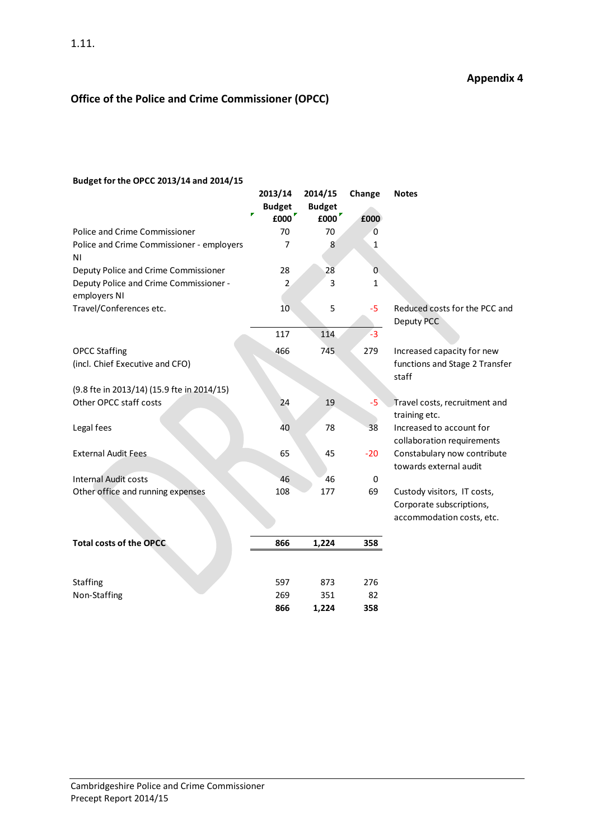# **Office of the Police and Crime Commissioner (OPCC)**

#### **Budget for the OPCC 2013/14 and 2014/15**

|                                                         | 2013/14<br><b>Budget</b><br>r<br>£000 | 2014/15<br><b>Budget</b><br>£000 | Change<br>£000 | <b>Notes</b>                                                                         |
|---------------------------------------------------------|---------------------------------------|----------------------------------|----------------|--------------------------------------------------------------------------------------|
| <b>Police and Crime Commissioner</b>                    | 70                                    | 70                               | 0              |                                                                                      |
| Police and Crime Commissioner - employers<br>ΝI         | 7                                     | 8                                | $\mathbf{1}$   |                                                                                      |
| Deputy Police and Crime Commissioner                    | 28                                    | 28                               | $\overline{0}$ |                                                                                      |
| Deputy Police and Crime Commissioner -<br>employers NI  | 2                                     | 3                                | 1              |                                                                                      |
| Travel/Conferences etc.                                 | 10                                    | 5                                | $-5$           | Reduced costs for the PCC and<br>Deputy PCC                                          |
|                                                         | 117                                   | 114                              | $-3$           |                                                                                      |
| <b>OPCC Staffing</b><br>(incl. Chief Executive and CFO) | 466                                   | 745                              | 279            | Increased capacity for new<br>functions and Stage 2 Transfer<br>staff                |
| (9.8 fte in 2013/14) (15.9 fte in 2014/15)              |                                       |                                  |                |                                                                                      |
| Other OPCC staff costs                                  | 24                                    | 19                               | -5             | Travel costs, recruitment and<br>training etc.                                       |
| Legal fees                                              | 40                                    | 78                               | 38             | Increased to account for<br>collaboration requirements                               |
| <b>External Audit Fees</b>                              | 65                                    | 45                               | $-20$          | Constabulary now contribute<br>towards external audit                                |
| <b>Internal Audit costs</b>                             | 46                                    | 46                               | $\mathbf 0$    |                                                                                      |
| Other office and running expenses                       | 108                                   | 177                              | 69             | Custody visitors, IT costs,<br>Corporate subscriptions,<br>accommodation costs, etc. |
| <b>Total costs of the OPCC</b>                          | 866                                   | 1,224                            | 358            |                                                                                      |
|                                                         |                                       |                                  |                |                                                                                      |
| <b>Staffing</b>                                         | 597                                   | 873                              | 276            |                                                                                      |
| Non-Staffing                                            | 269                                   | 351                              | 82             |                                                                                      |
|                                                         | 866                                   | 1,224                            | 358            |                                                                                      |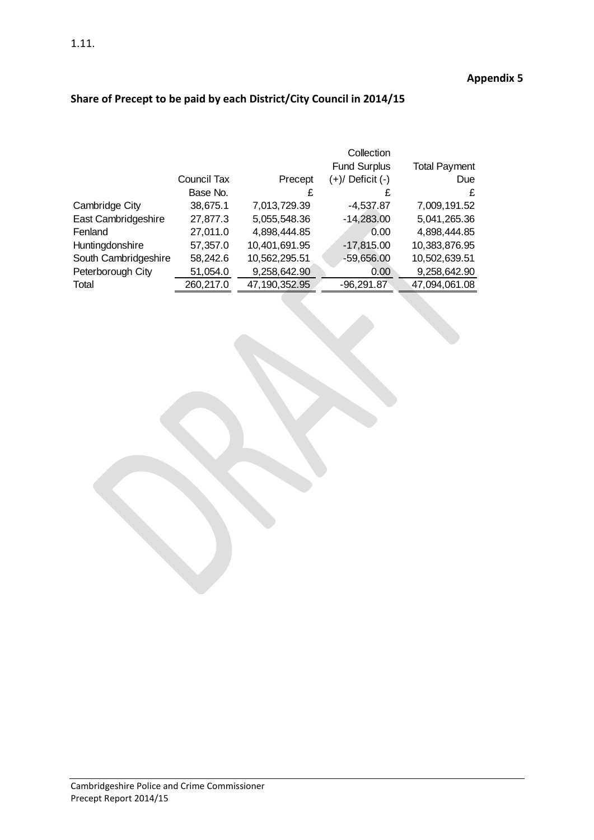|  |  |  | Share of Precept to be paid by each District/City Council in 2014/15 |
|--|--|--|----------------------------------------------------------------------|
|--|--|--|----------------------------------------------------------------------|

|                      |             |               | Collection           |                      |
|----------------------|-------------|---------------|----------------------|----------------------|
|                      |             |               | <b>Fund Surplus</b>  | <b>Total Payment</b> |
|                      | Council Tax | Precept       | $(+)/$ Deficit $(-)$ | Due                  |
|                      | Base No.    | £             | £                    | £                    |
| Cambridge City       | 38,675.1    | 7,013,729.39  | $-4,537.87$          | 7,009,191.52         |
| East Cambridgeshire  | 27,877.3    | 5,055,548.36  | $-14,283.00$         | 5,041,265.36         |
| Fenland              | 27,011.0    | 4,898,444.85  | 0.00                 | 4,898,444.85         |
| Huntingdonshire      | 57,357.0    | 10,401,691.95 | $-17,815.00$         | 10,383,876.95        |
| South Cambridgeshire | 58,242.6    | 10,562,295.51 | $-59,656.00$         | 10,502,639.51        |
| Peterborough City    | 51,054.0    | 9,258,642.90  | 0.00                 | 9,258,642.90         |
| Total                | 260,217.0   | 47,190,352.95 | $-96,291.87$         | 47,094,061.08        |